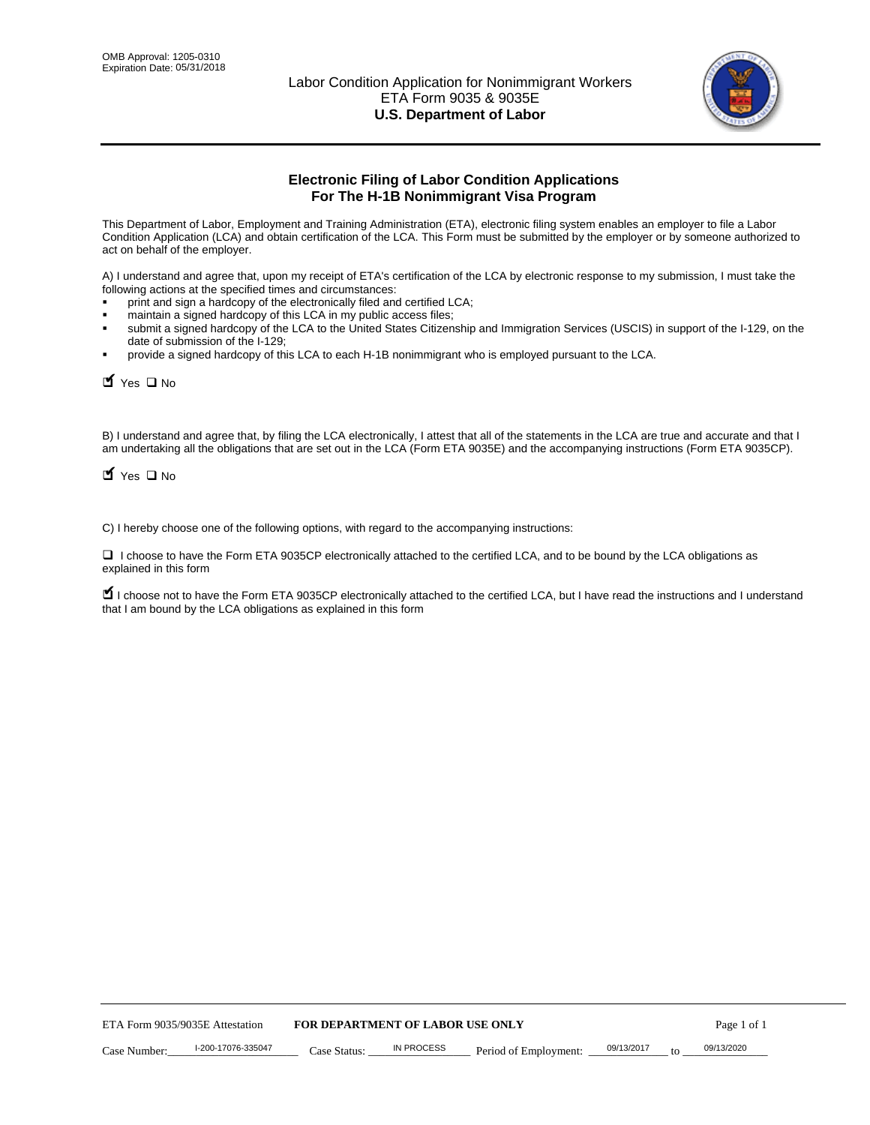

# **Electronic Filing of Labor Condition Applications For The H-1B Nonimmigrant Visa Program**

This Department of Labor, Employment and Training Administration (ETA), electronic filing system enables an employer to file a Labor Condition Application (LCA) and obtain certification of the LCA. This Form must be submitted by the employer or by someone authorized to act on behalf of the employer.

A) I understand and agree that, upon my receipt of ETA's certification of the LCA by electronic response to my submission, I must take the following actions at the specified times and circumstances:

- print and sign a hardcopy of the electronically filed and certified LCA;
- maintain a signed hardcopy of this LCA in my public access files;
- submit a signed hardcopy of the LCA to the United States Citizenship and Immigration Services (USCIS) in support of the I-129, on the date of submission of the I-129;
- provide a signed hardcopy of this LCA to each H-1B nonimmigrant who is employed pursuant to the LCA.

| Yes O No                                                                                                                                                                                                                                                                                                              |                                  |                   |                       |            |                  |  |
|-----------------------------------------------------------------------------------------------------------------------------------------------------------------------------------------------------------------------------------------------------------------------------------------------------------------------|----------------------------------|-------------------|-----------------------|------------|------------------|--|
| B) I understand and agree that, by filing the LCA electronically, I attest that all of the statements in the LCA are true and accurate and th<br>am undertaking all the obligations that are set out in the LCA (Form ETA 9035E) and the accompanying instructions (Form ETA 9035C<br>$\blacksquare$ Yes $\square$ No |                                  |                   |                       |            |                  |  |
| C) I hereby choose one of the following options, with regard to the accompanying instructions:                                                                                                                                                                                                                        |                                  |                   |                       |            |                  |  |
| □ I choose to have the Form ETA 9035CP electronically attached to the certified LCA, and to be bound by the LCA obligations as<br>explained in this form                                                                                                                                                              |                                  |                   |                       |            |                  |  |
| I choose not to have the Form ETA 9035CP electronically attached to the certified LCA, but I have read the instructions and I unders<br>that I am bound by the LCA obligations as explained in this form                                                                                                              |                                  |                   |                       |            |                  |  |
|                                                                                                                                                                                                                                                                                                                       |                                  |                   |                       |            |                  |  |
|                                                                                                                                                                                                                                                                                                                       |                                  |                   |                       |            |                  |  |
|                                                                                                                                                                                                                                                                                                                       |                                  |                   |                       |            |                  |  |
|                                                                                                                                                                                                                                                                                                                       |                                  |                   |                       |            |                  |  |
|                                                                                                                                                                                                                                                                                                                       |                                  |                   |                       |            |                  |  |
|                                                                                                                                                                                                                                                                                                                       |                                  |                   |                       |            |                  |  |
|                                                                                                                                                                                                                                                                                                                       |                                  |                   |                       |            |                  |  |
|                                                                                                                                                                                                                                                                                                                       |                                  |                   |                       |            |                  |  |
|                                                                                                                                                                                                                                                                                                                       |                                  |                   |                       |            |                  |  |
|                                                                                                                                                                                                                                                                                                                       |                                  |                   |                       |            |                  |  |
| ETA Form 9035/9035E Attestation                                                                                                                                                                                                                                                                                       | FOR DEPARTMENT OF LABOR USE ONLY |                   |                       |            | Page 1 of 1      |  |
| I-200-17076-335047<br>Case Number:                                                                                                                                                                                                                                                                                    | Case Status:                     | <b>IN PROCESS</b> | Period of Employment: | 09/13/2017 | 09/13/2020<br>to |  |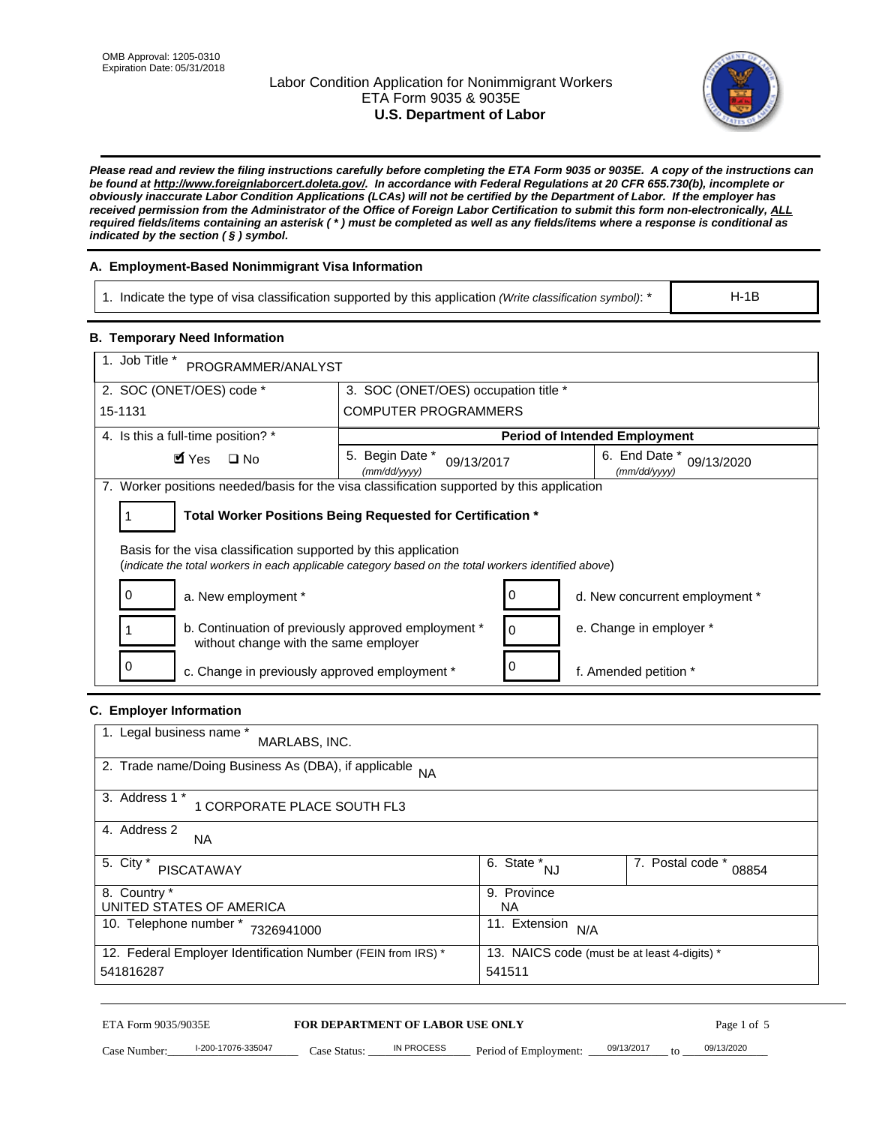# Labor Condition Application for Nonimmigrant Workers ETA Form 9035 & 9035E **U.S. Department of Labor**



*Please read and review the filing instructions carefully before completing the ETA Form 9035 or 9035E. A copy of the instructions can be found at http://www.foreignlaborcert.doleta.gov/. In accordance with Federal Regulations at 20 CFR 655.730(b), incomplete or obviously inaccurate Labor Condition Applications (LCAs) will not be certified by the Department of Labor. If the employer has received permission from the Administrator of the Office of Foreign Labor Certification to submit this form non-electronically, ALL required fields/items containing an asterisk ( \* ) must be completed as well as any fields/items where a response is conditional as indicated by the section ( § ) symbol.* 

# **A. Employment-Based Nonimmigrant Visa Information**

1. Indicate the type of visa classification supported by this application *(Write classification symbol)*: \*

#### **B. Temporary Need Information**

| 1. Indicate the type of visa classification supported by this application (Write classification symbol): *                                                              |                                                                        |                                      |                                              | $H-1B$                         |
|-------------------------------------------------------------------------------------------------------------------------------------------------------------------------|------------------------------------------------------------------------|--------------------------------------|----------------------------------------------|--------------------------------|
| <b>B. Temporary Need Information</b>                                                                                                                                    |                                                                        |                                      |                                              |                                |
| 1. Job Title *<br>PROGRAMMER/ANALYST                                                                                                                                    |                                                                        |                                      |                                              |                                |
| 2. SOC (ONET/OES) code *                                                                                                                                                | 3. SOC (ONET/OES) occupation title *                                   |                                      |                                              |                                |
| 15-1131<br><b>COMPUTER PROGRAMMERS</b>                                                                                                                                  |                                                                        |                                      |                                              |                                |
| 4. Is this a full-time position? *                                                                                                                                      |                                                                        |                                      | <b>Period of Intended Employment</b>         |                                |
| $\blacksquare$ Yes<br>$\square$ No                                                                                                                                      | 5. Begin Date *<br>09/13/2017<br>(mm/dd/yyyy)                          |                                      | 6. End Date *<br>(mm/dd/yyyy)                | 09/13/2020                     |
| 7. Worker positions needed/basis for the visa classification supported by this application                                                                              |                                                                        |                                      |                                              |                                |
| Total Worker Positions Being Requested for Certification *<br>1                                                                                                         |                                                                        |                                      |                                              |                                |
| Basis for the visa classification supported by this application<br>(indicate the total workers in each applicable category based on the total workers identified above) |                                                                        |                                      |                                              |                                |
| 0<br>a. New employment *                                                                                                                                                |                                                                        | 0                                    |                                              | d. New concurrent employment * |
| b. Continuation of previously approved employment *<br>without change with the same employer                                                                            | 0                                                                      | e. Change in employer *              |                                              |                                |
| 0<br>c. Change in previously approved employment *                                                                                                                      |                                                                        | 0                                    | f. Amended petition *                        |                                |
| C. Employer Information                                                                                                                                                 |                                                                        |                                      |                                              |                                |
| 1. Legal business name *<br>MARLABS, INC.                                                                                                                               |                                                                        |                                      |                                              |                                |
| 2. Trade name/Doing Business As (DBA), if applicable                                                                                                                    | <b>NA</b>                                                              |                                      |                                              |                                |
| 3. Address 1 *<br>1 CORPORATE PLACE SOUTH FL3                                                                                                                           |                                                                        |                                      |                                              |                                |
| 4. Address 2<br>NA.                                                                                                                                                     |                                                                        |                                      |                                              |                                |
| 5. City *<br><b>PISCATAWAY</b>                                                                                                                                          |                                                                        | $\overline{6. \text{ State}}^*_{NJ}$ |                                              | 7. Postal code *<br>08854      |
| 8. Country *<br>UNITED STATES OF AMERICA                                                                                                                                |                                                                        | 9. Province<br><b>NA</b>             |                                              |                                |
| 10. Telephone number * 7326941000                                                                                                                                       |                                                                        | 11. Extension $N/A$                  |                                              |                                |
| 12. Federal Employer Identification Number (FEIN from IRS) *<br>541816287                                                                                               |                                                                        | 541511                               | 13. NAICS code (must be at least 4-digits) * |                                |
| ETA Form 9035/9035E<br>I-200-17076-335047<br>Case Number:                                                                                                               | <b>FOR DEPARTMENT OF LABOR USE ONLY</b><br>IN PROCESS<br>$Case$ Statue | Period of Employment:                | 09/13/2017                                   | Page 1 of 5<br>09/13/2020      |

# **C. Employer Information**

| 1. Legal business name *<br>MARLABS, INC.                    |                                              |                           |
|--------------------------------------------------------------|----------------------------------------------|---------------------------|
| 2. Trade name/Doing Business As (DBA), if applicable NA      |                                              |                           |
| 3. Address 1 *<br>1 CORPORATE PLACE SOUTH FL3                |                                              |                           |
| 4. Address 2<br><b>NA</b>                                    |                                              |                           |
| 5. City *<br><b>PISCATAWAY</b>                               | 6. State *<br><b>NJ</b>                      | 7. Postal code *<br>08854 |
| 8. Country *                                                 | 9. Province                                  |                           |
| UNITED STATES OF AMERICA                                     | NA.                                          |                           |
| 10. Telephone number *<br>7326941000                         | 11. Extension<br>N/A                         |                           |
| 12. Federal Employer Identification Number (FEIN from IRS) * | 13. NAICS code (must be at least 4-digits) * |                           |
| 541816287                                                    | 541511                                       |                           |

# ETA Form 9035/9035E **FOR DEPARTMENT OF LABOR USE ONLY** Page 1 of 5<br>Case Number: 1-200-17076-335047 Case Status: IN PROCESS Period of Employment: 09/13/2017 to 09/13/2020

Case Number: 1-200-17076-335047 Case Status: IN PROCESS Period of Employment: 09/13/2017 to 09/13/2020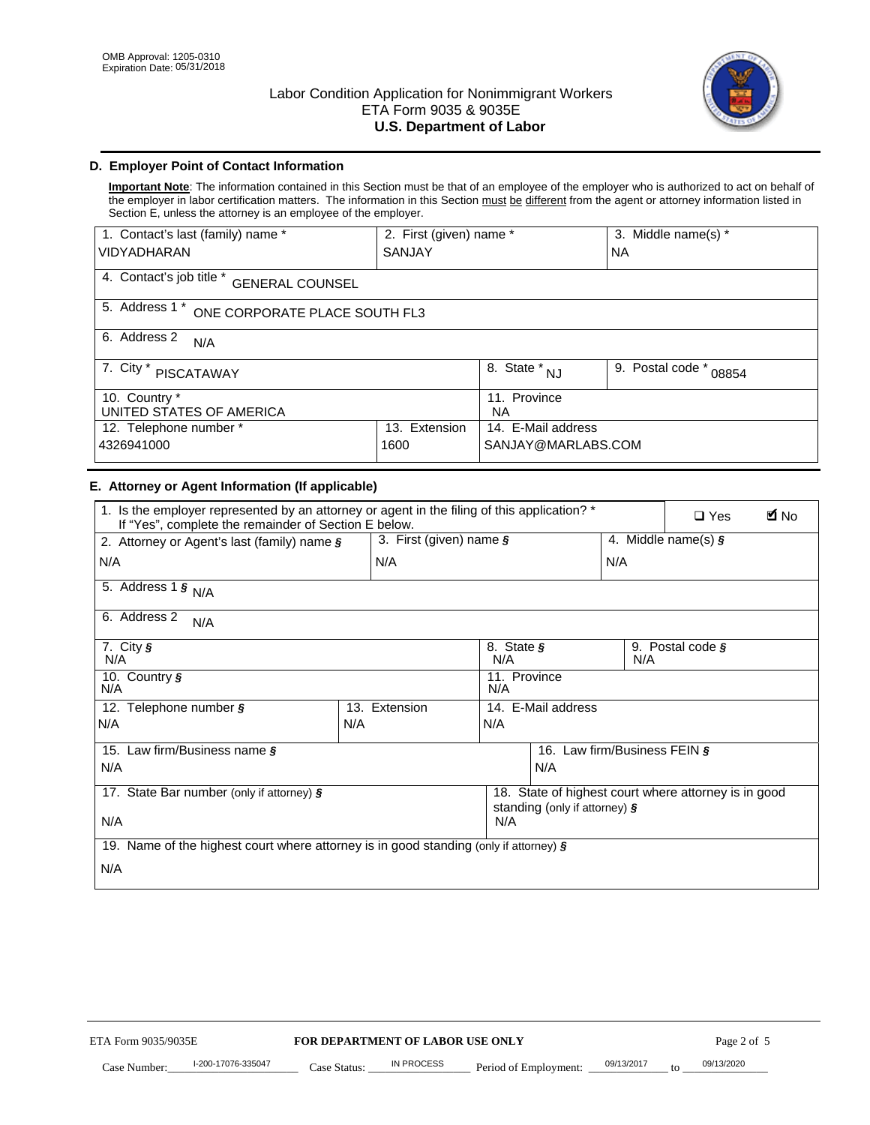

# **D. Employer Point of Contact Information**

**Important Note**: The information contained in this Section must be that of an employee of the employer who is authorized to act on behalf of the employer in labor certification matters. The information in this Section must be different from the agent or attorney information listed in Section E, unless the attorney is an employee of the employer.

| 1. Contact's last (family) name *                  | 2. First (given) name * |                                | 3. Middle name(s) *       |  |
|----------------------------------------------------|-------------------------|--------------------------------|---------------------------|--|
| <b>VIDYADHARAN</b>                                 | <b>SANJAY</b>           |                                | <b>NA</b>                 |  |
| 4. Contact's job title *<br><b>GENERAL COUNSEL</b> |                         |                                |                           |  |
| 5. Address 1 *<br>ONE CORPORATE PLACE SOUTH FL3    |                         |                                |                           |  |
| 6. Address 2<br>N/A                                |                         |                                |                           |  |
| 7. City $*$<br>PISCATAWAY                          |                         | $\overline{8}$ . State *<br>NJ | 9. Postal code *<br>08854 |  |
| 10. Country *<br>UNITED STATES OF AMERICA          |                         | 11. Province<br><b>NA</b>      |                           |  |
| Extension<br>12. Telephone number *<br>13.         |                         | 14. E-Mail address             |                           |  |
| 4326941000<br>1600                                 |                         | SANJAY@MARLABS.COM             |                           |  |

# **E. Attorney or Agent Information (If applicable)**

| VIDYADHARAN                                                                                                                                         | SANJAY                           |                                           |                                          | <b>NA</b>                    |                                                      |             |
|-----------------------------------------------------------------------------------------------------------------------------------------------------|----------------------------------|-------------------------------------------|------------------------------------------|------------------------------|------------------------------------------------------|-------------|
| 4. Contact's job title * GENERAL COUNSEL                                                                                                            |                                  |                                           |                                          |                              |                                                      |             |
| 5. Address 1 * ONE CORPORATE PLACE SOUTH FL3                                                                                                        |                                  |                                           |                                          |                              |                                                      |             |
| 6. Address 2<br>N/A                                                                                                                                 |                                  |                                           |                                          |                              |                                                      |             |
| 7. City * PISCATAWAY                                                                                                                                |                                  | $\overline{\phantom{a}}$ 8. State $^*$ NJ |                                          | 9. Postal code *             | 08854                                                |             |
| 10. Country *<br>UNITED STATES OF AMERICA                                                                                                           |                                  | 11. Province<br>NA                        |                                          |                              |                                                      |             |
| 12. Telephone number *<br>4326941000                                                                                                                | 13. Extension<br>1600            |                                           | 14. E-Mail address<br>SANJAY@MARLABS.COM |                              |                                                      |             |
| E. Attorney or Agent Information (If applicable)                                                                                                    |                                  |                                           |                                          |                              |                                                      |             |
| 1. Is the employer represented by an attorney or agent in the filing of this application? *<br>If "Yes", complete the remainder of Section E below. |                                  |                                           |                                          |                              | $\Box$ Yes                                           | <b>M</b> No |
| 2. Attorney or Agent's last (family) name §                                                                                                         | 3. First (given) name §          |                                           |                                          |                              | 4. Middle name(s) $\sqrt{s}$                         |             |
| N/A                                                                                                                                                 | N/A                              |                                           |                                          | N/A                          |                                                      |             |
| 5. Address 1 $\frac{1}{9}$ N/A                                                                                                                      |                                  |                                           |                                          |                              |                                                      |             |
| 6. Address 2<br>N/A                                                                                                                                 |                                  |                                           |                                          |                              |                                                      |             |
| 7. City §<br>N/A                                                                                                                                    |                                  | 8. State §<br>N/A                         |                                          | N/A                          | 9. Postal code §                                     |             |
| 10. Country §<br>N/A                                                                                                                                |                                  | 11. Province<br>N/A                       |                                          |                              |                                                      |             |
| 12. Telephone number §                                                                                                                              | 13. Extension                    | 14. E-Mail address                        |                                          |                              |                                                      |             |
| N/A                                                                                                                                                 | N/A                              | N/A                                       |                                          |                              |                                                      |             |
| 15. Law firm/Business name §                                                                                                                        |                                  |                                           |                                          | 16. Law firm/Business FEIN § |                                                      |             |
| N/A                                                                                                                                                 |                                  |                                           | N/A                                      |                              |                                                      |             |
| 17. State Bar number (only if attorney) §                                                                                                           |                                  |                                           | standing (only if attorney) §            |                              | 18. State of highest court where attorney is in good |             |
| N/A                                                                                                                                                 |                                  | N/A                                       |                                          |                              |                                                      |             |
| 19. Name of the highest court where attorney is in good standing (only if attorney) §                                                               |                                  |                                           |                                          |                              |                                                      |             |
| N/A                                                                                                                                                 |                                  |                                           |                                          |                              |                                                      |             |
|                                                                                                                                                     |                                  |                                           |                                          |                              |                                                      |             |
|                                                                                                                                                     |                                  |                                           |                                          |                              |                                                      |             |
|                                                                                                                                                     |                                  |                                           |                                          |                              |                                                      |             |
|                                                                                                                                                     |                                  |                                           |                                          |                              |                                                      |             |
|                                                                                                                                                     |                                  |                                           |                                          |                              |                                                      |             |
|                                                                                                                                                     |                                  |                                           |                                          |                              |                                                      |             |
|                                                                                                                                                     |                                  |                                           |                                          |                              |                                                      |             |
| ETA Form 9035/9035E                                                                                                                                 | FOR DEPARTMENT OF LABOR USE ONLY |                                           |                                          |                              | Page 2 of 5                                          |             |
| I-200-17076-335047                                                                                                                                  | IN PROCESS                       |                                           |                                          | 09/13/2017                   | 09/13/2020                                           |             |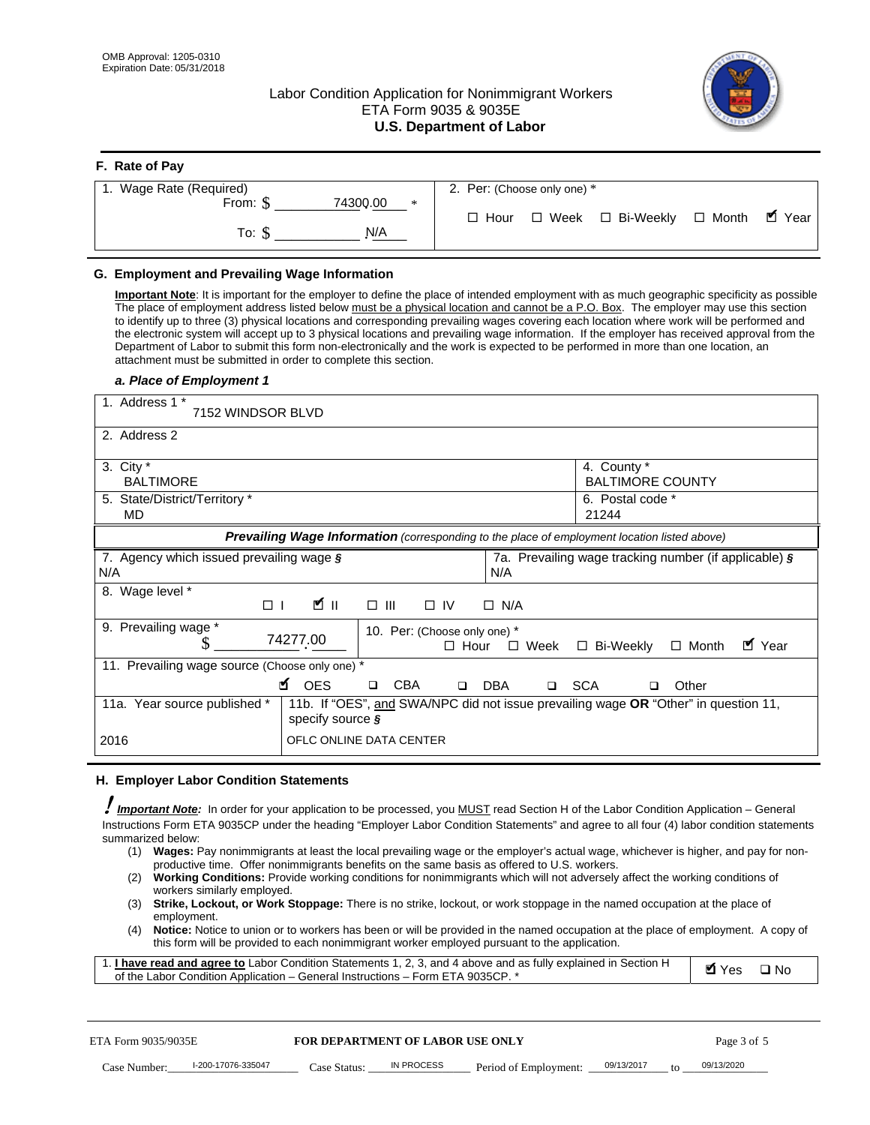**F. Rate of Pay** 

# Labor Condition Application for Nonimmigrant Workers ETA Form 9035 & 9035E **U.S. Department of Labor**



| <b>r.</b> Rate of Pay        |                                                                  |
|------------------------------|------------------------------------------------------------------|
| 1. Wage Rate (Required)      | 2. Per: (Choose only one) *                                      |
| 74300.00<br>From: $$$<br>$*$ |                                                                  |
| N/A<br>To: S                 | $\blacksquare$ Year<br>□ Week □ Bi-Weekly □ Month<br>$\Box$ Hour |
|                              |                                                                  |

## **G. Employment and Prevailing Wage Information**

#### *a. Place of Employment 1*

| From: \$                                                                                                                                                                                                                                                                                                                                                                                                                                                                                                                                                                                                                                                                                                                                                                                                                                  | 74300.00<br>$\ast$<br>To: $\S$<br>N/A                                                                                                                                                                                                                                                                                                                                                                                                                                                                                                                                                                                                                                                                                                | $\Box$ Hour                                                | $\Box$ Week $\Box$ Bi-Weekly                               | $\blacksquare$ Year<br>$\Box$ Month |  |
|-------------------------------------------------------------------------------------------------------------------------------------------------------------------------------------------------------------------------------------------------------------------------------------------------------------------------------------------------------------------------------------------------------------------------------------------------------------------------------------------------------------------------------------------------------------------------------------------------------------------------------------------------------------------------------------------------------------------------------------------------------------------------------------------------------------------------------------------|--------------------------------------------------------------------------------------------------------------------------------------------------------------------------------------------------------------------------------------------------------------------------------------------------------------------------------------------------------------------------------------------------------------------------------------------------------------------------------------------------------------------------------------------------------------------------------------------------------------------------------------------------------------------------------------------------------------------------------------|------------------------------------------------------------|------------------------------------------------------------|-------------------------------------|--|
| G. Employment and Prevailing Wage Information<br>Important Note: It is important for the employer to define the place of intended employment with as much geographic specificity as possible<br>The place of employment address listed below must be a physical location and cannot be a P.O. Box. The employer may use this section<br>to identify up to three (3) physical locations and corresponding prevailing wages covering each location where work will be performed and<br>the electronic system will accept up to 3 physical locations and prevailing wage information. If the employer has received approval from the<br>Department of Labor to submit this form non-electronically and the work is expected to be performed in more than one location, an<br>attachment must be submitted in order to complete this section. |                                                                                                                                                                                                                                                                                                                                                                                                                                                                                                                                                                                                                                                                                                                                      |                                                            |                                                            |                                     |  |
| a. Place of Employment 1<br>1. Address 1 *<br>7152 WINDSOR BLVD                                                                                                                                                                                                                                                                                                                                                                                                                                                                                                                                                                                                                                                                                                                                                                           |                                                                                                                                                                                                                                                                                                                                                                                                                                                                                                                                                                                                                                                                                                                                      |                                                            |                                                            |                                     |  |
| 2. Address 2<br>3. City $*$<br><b>BALTIMORE</b><br>5. State/District/Territory *                                                                                                                                                                                                                                                                                                                                                                                                                                                                                                                                                                                                                                                                                                                                                          |                                                                                                                                                                                                                                                                                                                                                                                                                                                                                                                                                                                                                                                                                                                                      |                                                            | 4. County *<br><b>BALTIMORE COUNTY</b><br>6. Postal code * |                                     |  |
| MD                                                                                                                                                                                                                                                                                                                                                                                                                                                                                                                                                                                                                                                                                                                                                                                                                                        | Prevailing Wage Information (corresponding to the place of employment location listed above)                                                                                                                                                                                                                                                                                                                                                                                                                                                                                                                                                                                                                                         |                                                            | 21244                                                      |                                     |  |
| 7. Agency which issued prevailing wage §<br>N/A                                                                                                                                                                                                                                                                                                                                                                                                                                                                                                                                                                                                                                                                                                                                                                                           |                                                                                                                                                                                                                                                                                                                                                                                                                                                                                                                                                                                                                                                                                                                                      | N/A                                                        | 7a. Prevailing wage tracking number (if applicable) §      |                                     |  |
| 8. Wage level *<br>$\Box$                                                                                                                                                                                                                                                                                                                                                                                                                                                                                                                                                                                                                                                                                                                                                                                                                 | <b>M</b><br>$\Box$<br>III                                                                                                                                                                                                                                                                                                                                                                                                                                                                                                                                                                                                                                                                                                            | $\Box$ IV<br>$\Box$ N/A                                    |                                                            |                                     |  |
| 9. Prevailing wage *<br>S                                                                                                                                                                                                                                                                                                                                                                                                                                                                                                                                                                                                                                                                                                                                                                                                                 | 74277.00                                                                                                                                                                                                                                                                                                                                                                                                                                                                                                                                                                                                                                                                                                                             | 10. Per: (Choose only one) *<br>$\Box$ Hour<br>$\Box$ Week | □ Bi-Weekly                                                | ■ Year<br>$\Box$ Month              |  |
| 11. Prevailing wage source (Choose only one) *                                                                                                                                                                                                                                                                                                                                                                                                                                                                                                                                                                                                                                                                                                                                                                                            | <b>¤</b> OES<br><b>CBA</b><br>$\Box$                                                                                                                                                                                                                                                                                                                                                                                                                                                                                                                                                                                                                                                                                                 | □ SCA<br>DBA<br>$\Box$                                     | □                                                          | Other                               |  |
| 11a. Year source published *                                                                                                                                                                                                                                                                                                                                                                                                                                                                                                                                                                                                                                                                                                                                                                                                              | 11b. If "OES", and SWA/NPC did not issue prevailing wage OR "Other" in question 11,<br>specify source $\boldsymbol{\S}$                                                                                                                                                                                                                                                                                                                                                                                                                                                                                                                                                                                                              |                                                            |                                                            |                                     |  |
| 2016                                                                                                                                                                                                                                                                                                                                                                                                                                                                                                                                                                                                                                                                                                                                                                                                                                      | OFLC ONLINE DATA CENTER                                                                                                                                                                                                                                                                                                                                                                                                                                                                                                                                                                                                                                                                                                              |                                                            |                                                            |                                     |  |
| H. Employer Labor Condition Statements                                                                                                                                                                                                                                                                                                                                                                                                                                                                                                                                                                                                                                                                                                                                                                                                    |                                                                                                                                                                                                                                                                                                                                                                                                                                                                                                                                                                                                                                                                                                                                      |                                                            |                                                            |                                     |  |
| <b>Important Note:</b> In order for your application to be processed, you MUST read Section H of the Labor Condition Application - General<br>Instructions Form ETA 9035CP under the heading "Employer Labor Condition Statements" and agree to all four (4) labor condition statements<br>summarized below:<br>(1)<br>(2)<br>workers similarly employed.<br>(3)<br>employment.<br>(4)<br>1. <i>I have read and agree to</i> Labor Condition Statements 1, 2, 3, and 4 above and as fully explained in Section H<br>of the Labor Condition Application - General Instructions - Form ETA 9035CP. *                                                                                                                                                                                                                                        | Wages: Pay nonimmigrants at least the local prevailing wage or the employer's actual wage, whichever is higher, and pay for non-<br>productive time. Offer nonimmigrants benefits on the same basis as offered to U.S. workers.<br><b>Working Conditions:</b> Provide working conditions for nonimmigrants which will not adversely affect the working conditions of<br>Strike, Lockout, or Work Stoppage: There is no strike, lockout, or work stoppage in the named occupation at the place of<br>Notice: Notice to union or to workers has been or will be provided in the named occupation at the place of employment. A copy of<br>this form will be provided to each nonimmigrant worker employed pursuant to the application. |                                                            |                                                            | <b>Ø</b> Yes<br>$\square$ No        |  |
| ETA Form 9035/9035E                                                                                                                                                                                                                                                                                                                                                                                                                                                                                                                                                                                                                                                                                                                                                                                                                       | <b>FOR DEPARTMENT OF LABOR USE ONLY</b>                                                                                                                                                                                                                                                                                                                                                                                                                                                                                                                                                                                                                                                                                              |                                                            |                                                            | Page 3 of 5                         |  |
| I-200-17076-335047<br>Case Number:                                                                                                                                                                                                                                                                                                                                                                                                                                                                                                                                                                                                                                                                                                                                                                                                        | IN PROCESS<br>Case Status: .                                                                                                                                                                                                                                                                                                                                                                                                                                                                                                                                                                                                                                                                                                         | Period of Employment:                                      | 09/13/2017                                                 | 09/13/2020                          |  |

#### **H. Employer Labor Condition Statements**

- (1) **Wages:** Pay nonimmigrants at least the local prevailing wage or the employer's actual wage, whichever is higher, and pay for nonproductive time. Offer nonimmigrants benefits on the same basis as offered to U.S. workers.
- (2) **Working Conditions:** Provide working conditions for nonimmigrants which will not adversely affect the working conditions of workers similarly employed.
- (3) **Strike, Lockout, or Work Stoppage:** There is no strike, lockout, or work stoppage in the named occupation at the place of employment.
- (4) **Notice:** Notice to union or to workers has been or will be provided in the named occupation at the place of employment. A copy of this form will be provided to each nonimmigrant worker employed pursuant to the application.

| 1. I have read and agree to Labor Condition Statements 1, 2, 3, and 4 above and as fully explained in Section H | $\blacksquare$ Yes $\square$ No |  |
|-----------------------------------------------------------------------------------------------------------------|---------------------------------|--|
| of the Labor Condition Application – General Instructions – Form ETA 9035CP. *                                  |                                 |  |

| ETA Form 9035/9035E |                    | <b>FOR DEPARTMENT OF LABOR USE ONLY</b> |            |                                      | Page 3 of 5 |                 |            |
|---------------------|--------------------|-----------------------------------------|------------|--------------------------------------|-------------|-----------------|------------|
| Case Number:        | l-200-17076-335047 | Case Status:                            | IN PROCESS | Period of Employment: ____09/13/2017 |             | $\overline{10}$ | 09/13/2020 |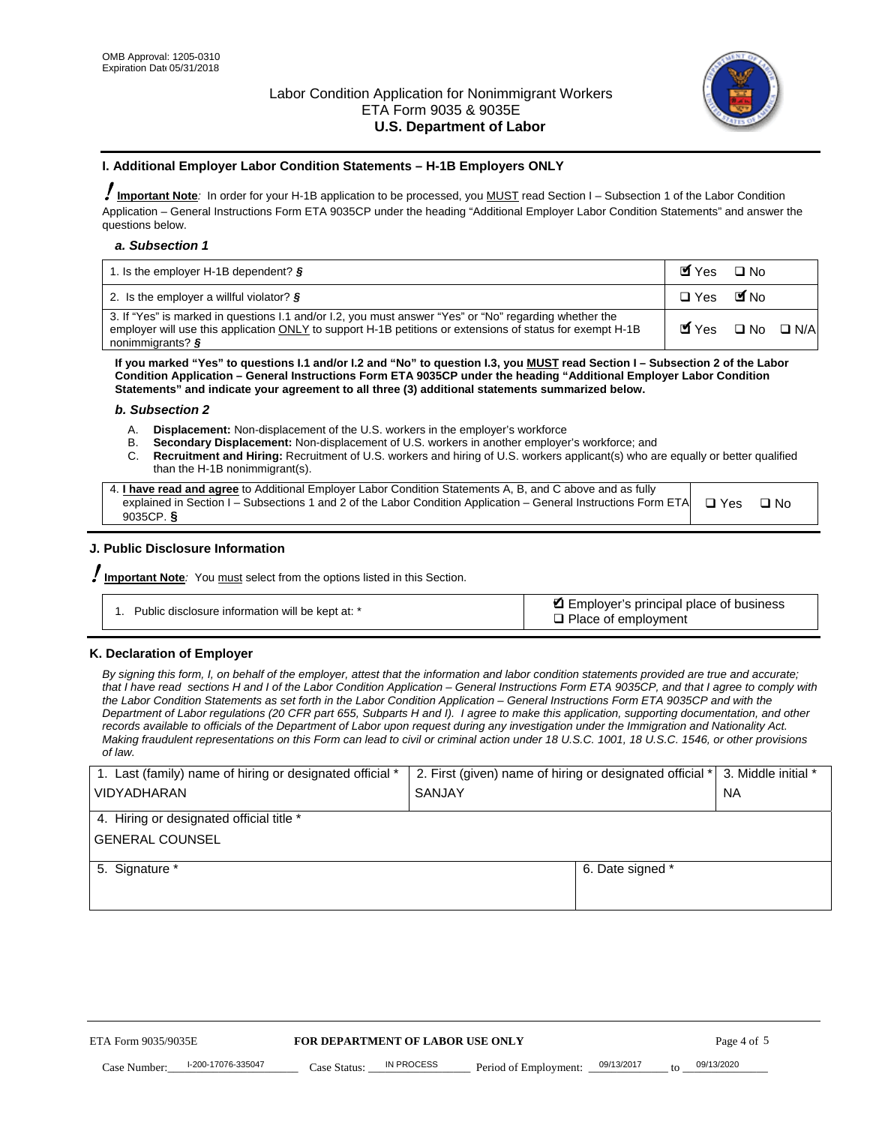

#### **I. Additional Employer Labor Condition Statements – H-1B Employers ONLY**

!**Important Note***:* In order for your H-1B application to be processed, you MUST read Section I – Subsection 1 of the Labor Condition Application – General Instructions Form ETA 9035CP under the heading "Additional Employer Labor Condition Statements" and answer the questions below.

#### *a. Subsection 1*

| 1. Is the employer H-1B dependent? $\S$                                                                                                                                                                                                 | Myes                                          | $\Box$ No              |  |
|-----------------------------------------------------------------------------------------------------------------------------------------------------------------------------------------------------------------------------------------|-----------------------------------------------|------------------------|--|
| 2. Is the employer a willful violator? $\frac{1}{2}$                                                                                                                                                                                    | $\Box$ Yes                                    | <b>M</b> <sub>No</sub> |  |
| 3. If "Yes" is marked in questions 1.1 and/or 1.2, you must answer "Yes" or "No" regarding whether the<br>employer will use this application ONLY to support H-1B petitions or extensions of status for exempt H-1B<br>nonimmigrants? § | $\blacksquare$ Yes $\square$ No $\square$ N/A |                        |  |

**If you marked "Yes" to questions I.1 and/or I.2 and "No" to question I.3, you MUST read Section I – Subsection 2 of the Labor Condition Application – General Instructions Form ETA 9035CP under the heading "Additional Employer Labor Condition Statements" and indicate your agreement to all three (3) additional statements summarized below.** 

#### *b. Subsection 2*

- A. **Displacement:** Non-displacement of the U.S. workers in the employer's workforce
- B. **Secondary Displacement:** Non-displacement of U.S. workers in another employer's workforce; and
- C. **Recruitment and Hiring:** Recruitment of U.S. workers and hiring of U.S. workers applicant(s) who are equally or better qualified than the H-1B nonimmigrant(s).

| 4. I have read and agree to Additional Employer Labor Condition Statements A, B, and C above and as fully                  |      |
|----------------------------------------------------------------------------------------------------------------------------|------|
| explained in Section I – Subsections 1 and 2 of the Labor Condition Application – General Instructions Form ETA $\Box$ Yes | ∩ Nח |
| 9035CP. $\delta$                                                                                                           |      |

# **J. Public Disclosure Information**

!**Important Note***:* You must select from the options listed in this Section.

| Public disclosure information will be kept at: * | Employer's principal place of business<br>$\Box$ Place of employment |
|--------------------------------------------------|----------------------------------------------------------------------|
|--------------------------------------------------|----------------------------------------------------------------------|

#### **K. Declaration of Employer**

*By signing this form, I, on behalf of the employer, attest that the information and labor condition statements provided are true and accurate;*  that I have read sections H and I of the Labor Condition Application – General Instructions Form ETA 9035CP, and that I agree to comply with *the Labor Condition Statements as set forth in the Labor Condition Application – General Instructions Form ETA 9035CP and with the Department of Labor regulations (20 CFR part 655, Subparts H and I). I agree to make this application, supporting documentation, and other records available to officials of the Department of Labor upon request during any investigation under the Immigration and Nationality Act. Making fraudulent representations on this Form can lead to civil or criminal action under 18 U.S.C. 1001, 18 U.S.C. 1546, or other provisions of law.* 

| 1. Last (family) name of hiring or designated official * | 2. First (given) name of hiring or designated official * |                                       | 3. Middle initial * |
|----------------------------------------------------------|----------------------------------------------------------|---------------------------------------|---------------------|
| <b>VIDYADHARAN</b>                                       | <b>SANJAY</b>                                            |                                       | <b>NA</b>           |
| 4. Hiring or designated official title *                 |                                                          |                                       |                     |
| <b>GENERAL COUNSEL</b>                                   |                                                          |                                       |                     |
| 5. Signature *                                           |                                                          | 6. Date signed *                      |                     |
|                                                          |                                                          |                                       |                     |
|                                                          |                                                          |                                       |                     |
|                                                          |                                                          |                                       |                     |
|                                                          |                                                          |                                       |                     |
|                                                          |                                                          |                                       |                     |
| FOR DEPARTMENT OF LABOR USE ONLY<br>ETA Form 9035/9035E  |                                                          |                                       | Page 4 of 5         |
| I-200-17076-335047<br>Case Number<br>Case Status:        | IN PROCESS<br>Period of Employment:                      | 09/13/2017<br>$\mathbf{f} \mathbf{O}$ | 09/13/2020          |